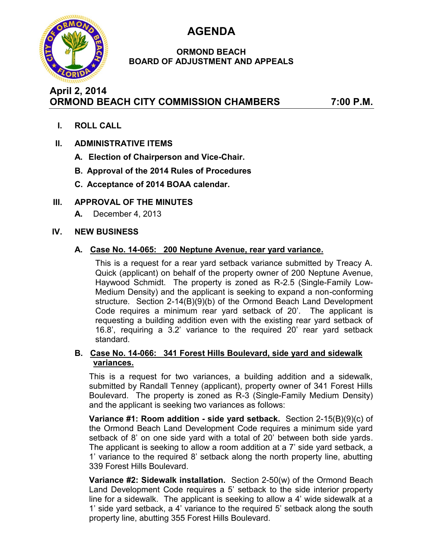

# **AGENDA**

### **ORMOND BEACH BOARD OF ADJUSTMENT AND APPEALS**

# **April 2, 2014 ORMOND BEACH CITY COMMISSION CHAMBERS 7:00 P.M.**

**I. ROLL CALL**

# **II. ADMINISTRATIVE ITEMS**

- **A. Election of Chairperson and Vice-Chair.**
- **B. Approval of the 2014 Rules of Procedures**
- **C. Acceptance of 2014 BOAA calendar.**

# **III. APPROVAL OF THE MINUTES**

**A.** December 4, 2013

### **IV. NEW BUSINESS**

### **A. Case No. 14-065: 200 Neptune Avenue, rear yard variance.**

This is a request for a rear yard setback variance submitted by Treacy A. Quick (applicant) on behalf of the property owner of 200 Neptune Avenue, Haywood Schmidt. The property is zoned as R-2.5 (Single-Family Low-Medium Density) and the applicant is seeking to expand a non-conforming structure. Section 2-14(B)(9)(b) of the Ormond Beach Land Development Code requires a minimum rear yard setback of 20'. The applicant is requesting a building addition even with the existing rear yard setback of 16.8', requiring a 3.2' variance to the required 20' rear yard setback standard.

#### **B. Case No. 14-066: 341 Forest Hills Boulevard, side yard and sidewalk variances.**

This is a request for two variances, a building addition and a sidewalk, submitted by Randall Tenney (applicant), property owner of 341 Forest Hills Boulevard. The property is zoned as R-3 (Single-Family Medium Density) and the applicant is seeking two variances as follows:

**Variance #1: Room addition - side yard setback.** Section 2-15(B)(9)(c) of the Ormond Beach Land Development Code requires a minimum side yard setback of 8' on one side yard with a total of 20' between both side yards. The applicant is seeking to allow a room addition at a 7' side yard setback, a 1' variance to the required 8' setback along the north property line, abutting 339 Forest Hills Boulevard.

**Variance #2: Sidewalk installation.** Section 2-50(w) of the Ormond Beach Land Development Code requires a 5' setback to the side interior property line for a sidewalk. The applicant is seeking to allow a 4' wide sidewalk at a 1' side yard setback, a 4' variance to the required 5' setback along the south property line, abutting 355 Forest Hills Boulevard.